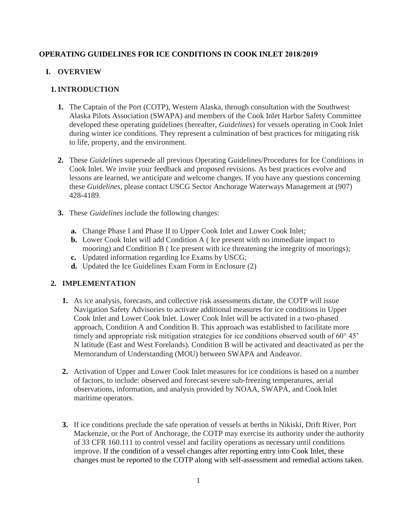#### **OPERATING GUIDELINES FOR ICE CONDITIONS IN COOK INLET 2018/2019**

#### **I. OVERVIEW**

#### **1.INTRODUCTION**

- **1.** The Captain of the Port (COTP), Western Alaska, through consultation with the Southwest Alaska Pilots Association (SWAPA) and members of the Cook Inlet Harbor Safety Committee developed these operating guidelines (hereafter, *Guidelines*) for vessels operating in Cook Inlet during winter ice conditions. They represent a culmination of best practices for mitigating risk to life, property, and the environment.
- **2.** These *Guidelines* supersede all previous Operating Guidelines/Procedures for Ice Conditions in Cook Inlet. We invite your feedback and proposed revisions. As best practices evolve and lessons are learned, we anticipate and welcome changes. If you have any questions concerning these *Guidelines*, please contact USCG Sector Anchorage Waterways Management at (907) 428-4189.
- **3.** These *Guidelines* include the following changes:
	- **a.** Change Phase I and Phase II to Upper Cook Inlet and Lower Cook Inlet;
	- **b.** Lower Cook Inlet will add Condition A (Ice present with no immediate impact to mooring) and Condition B ( Ice present with ice threatening the integrity of moorings);
	- **c.** Updated information regarding Ice Exams by USCG;
	- **d.** Updated the Ice Guidelines Exam Form in Enclosure (2)

#### **2. IMPLEMENTATION**

- **1.** As ice analysis, forecasts, and collective risk assessments dictate, the COTP will issue Navigation Safety Advisories to activate additional measures for ice conditions in Upper Cook Inlet and Lower Cook Inlet. Lower Cook Inlet will be activated in a two-phased approach, Condition A and Condition B. This approach was established to facilitate more timely and appropriate risk mitigation strategies for ice conditions observed south of 60° 45' N latitude (East and West Forelands). Condition B will be activated and deactivated as per the Memorandum of Understanding (MOU) between SWAPA and Andeavor.
- **2.** Activation of Upper and Lower Cook Inlet measures for ice conditions is based on a number of factors, to include: observed and forecast severe sub-freezing temperatures, aerial observations, information, and analysis provided by NOAA, SWAPA, and Cook Inlet maritime operators.
- **3.** If ice conditions preclude the safe operation of vessels at berths in Nikiski, Drift River, Port Mackenzie, or the Port of Anchorage, the COTP may exercise its authority under the authority of 33 CFR 160.111 to control vessel and facility operations as necessary until conditions improve. If the condition of a vessel changes after reporting entry into Cook Inlet, these changes must be reported to the COTP along with self-assessment and remedial actions taken.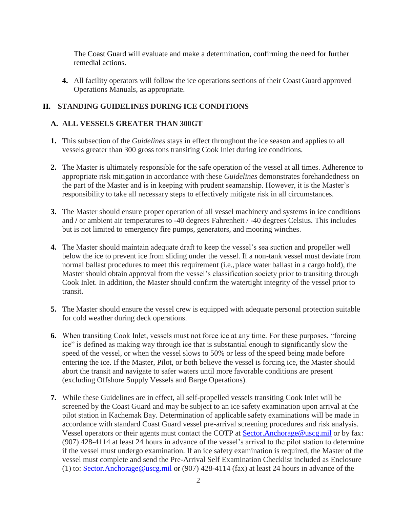The Coast Guard will evaluate and make a determination, confirming the need for further remedial actions.

**4.** All facility operators will follow the ice operations sections of their Coast Guard approved Operations Manuals, as appropriate.

## **II. STANDING GUIDELINES DURING ICE CONDITIONS**

## **A. ALL VESSELS GREATER THAN 300GT**

- **1.** This subsection of the *Guidelines* stays in effect throughout the ice season and applies to all vessels greater than 300 gross tons transiting Cook Inlet during ice conditions.
- **2.** The Master is ultimately responsible for the safe operation of the vessel at all times. Adherence to appropriate risk mitigation in accordance with these *Guidelines* demonstrates forehandedness on the part of the Master and is in keeping with prudent seamanship. However, it is the Master's responsibility to take all necessary steps to effectively mitigate risk in all circumstances.
- **3.** The Master should ensure proper operation of all vessel machinery and systems in ice conditions and **/** or ambient air temperatures to -40 degrees Fahrenheit / -40 degrees Celsius. This includes but is not limited to emergency fire pumps, generators, and mooring winches.
- **4.** The Master should maintain adequate draft to keep the vessel's sea suction and propeller well below the ice to prevent ice from sliding under the vessel. If a non-tank vessel must deviate from normal ballast procedures to meet this requirement (i.e.,place water ballast in a cargo hold), the Master should obtain approval from the vessel's classification society prior to transiting through Cook Inlet. In addition, the Master should confirm the watertight integrity of the vessel prior to transit.
- **5.** The Master should ensure the vessel crew is equipped with adequate personal protection suitable for cold weather during deck operations.
- **6.** When transiting Cook Inlet, vessels must not force ice at any time. For these purposes, "forcing ice" is defined as making way through ice that is substantial enough to significantly slow the speed of the vessel, or when the vessel slows to 50% or less of the speed being made before entering the ice. If the Master, Pilot, or both believe the vessel is forcing ice, the Master should abort the transit and navigate to safer waters until more favorable conditions are present (excluding Offshore Supply Vessels and Barge Operations).
- **7.** While these Guidelines are in effect, all self-propelled vessels transiting Cook Inlet will be screened by the Coast Guard and may be subject to an ice safety examination upon arrival at the pilot station in Kachemak Bay. Determination of applicable safety examinations will be made in accordance with standard Coast Guard vessel pre-arrival screening procedures and risk analysis. Vessel operators or their agents must contact the COTP at [Sector.Anchorage@uscg.mil](mailto:Sector.Anchorage@uscg.mil) or by fax: (907) 428-4114 at least 24 hours in advance of the vessel's arrival to the pilot station to determine if the vessel must undergo examination. If an ice safety examination is required, the Master of the vessel must complete and send the Pre-Arrival Self Examination Checklist included as Enclosure (1) to: [Sector.Anchorage@uscg.mil](mailto:Sector.Anchorage@uscg.mil) or (907) 428-4114 (fax) at least 24 hours in advance of the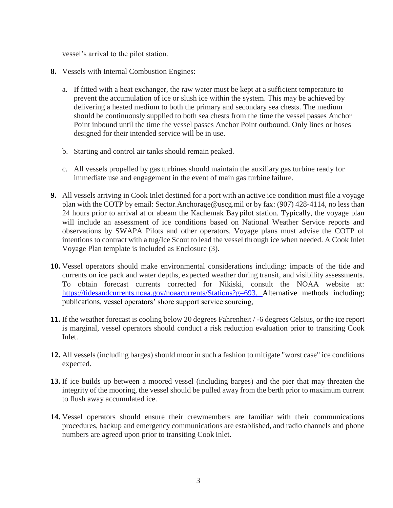vessel's arrival to the pilot station.

- **8.** Vessels with Internal Combustion Engines:
	- a. If fitted with a heat exchanger, the raw water must be kept at a sufficient temperature to prevent the accumulation of ice or slush ice within the system. This may be achieved by delivering a heated medium to both the primary and secondary sea chests. The medium should be continuously supplied to both sea chests from the time the vessel passes Anchor Point inbound until the time the vessel passes Anchor Point outbound. Only lines or hoses designed for their intended service will be in use.
	- b. Starting and control air tanks should remain peaked.
	- c. All vessels propelled by gas turbines should maintain the auxiliary gas turbine ready for immediate use and engagement in the event of main gas turbine failure.
- **9.** All vessels arriving in Cook Inlet destined for a port with an active ice condition must file a voyage plan with the COTP by em[ail: Sector.Anchorage@uscg.mil o](mailto:Sector.Anchorage@uscg.mil)r by fax: (907) 428-4114, no less than 24 hours prior to arrival at or abeam the Kachemak Bay pilot station. Typically, the voyage plan will include an assessment of ice conditions based on National Weather Service reports and observations by SWAPA Pilots and other operators. Voyage plans must advise the COTP of intentions to contract with a tug/Ice Scout to lead the vessel through ice when needed. A Cook Inlet Voyage Plan template is included as Enclosure (3).
- **10.** Vessel operators should make environmental considerations including: impacts of the tide and currents on ice pack and water depths, expected weather during transit, and visibility assessments. To obtain forecast currents corrected for Nikiski, consult the NOAA website at: [https://tidesandcurrents.noaa.gov/noaacurrents/Stations?g=693.](https://tidesandcurrents.noaa.gov/noaacurrents/Stations?g=693) Alternative methods including; publications, vessel operators' shore support service sourcing,
- **11.** If the weather forecast is cooling below 20 degrees Fahrenheit / -6 degrees Celsius, or the ice report is marginal, vessel operators should conduct a risk reduction evaluation prior to transiting Cook Inlet.
- **12.** All vessels (including barges) should moor in such a fashion to mitigate "worst case" ice conditions expected.
- **13.** If ice builds up between a moored vessel (including barges) and the pier that may threaten the integrity of the mooring, the vessel should be pulled away from the berth prior to maximum current to flush away accumulated ice.
- **14.** Vessel operators should ensure their crewmembers are familiar with their communications procedures, backup and emergency communications are established, and radio channels and phone numbers are agreed upon prior to transiting Cook Inlet.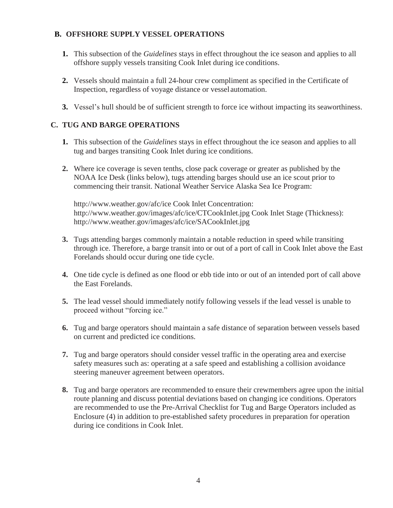#### **B. OFFSHORE SUPPLY VESSEL OPERATIONS**

- **1.** This subsection of the *Guidelines* stays in effect throughout the ice season and applies to all offshore supply vessels transiting Cook Inlet during ice conditions.
- **2.** Vessels should maintain a full 24-hour crew compliment as specified in the Certificate of Inspection, regardless of voyage distance or vessel automation.
- **3.** Vessel's hull should be of sufficient strength to force ice without impacting its seaworthiness.

## **C. TUG AND BARGE OPERATIONS**

- **1.** This subsection of the *Guidelines* stays in effect throughout the ice season and applies to all tug and barges transiting Cook Inlet during ice conditions.
- **2.** Where ice coverage is seven tenths, close pack coverage or greater as published by the NOAA Ice Desk (links below), tugs attending barges should use an ice scout prior to commencing their transit. National Weather Service Alaska Sea Ice Program:

http://www.weather.gov/afc/ice Cook Inlet Concentration: http://www.weather.gov/images/afc/ice/CTCookInlet.jpg Cook Inlet Stage (Thickness): http://www.weather.gov/images/afc/ice/SACookInlet.jpg

- **3.** Tugs attending barges commonly maintain a notable reduction in speed while transiting through ice. Therefore, a barge transit into or out of a port of call in Cook Inlet above the East Forelands should occur during one tide cycle.
- **4.** One tide cycle is defined as one flood or ebb tide into or out of an intended port of call above the East Forelands.
- **5.** The lead vessel should immediately notify following vessels if the lead vessel is unable to proceed without "forcing ice."
- **6.** Tug and barge operators should maintain a safe distance of separation between vessels based on current and predicted ice conditions.
- **7.** Tug and barge operators should consider vessel traffic in the operating area and exercise safety measures such as: operating at a safe speed and establishing a collision avoidance steering maneuver agreement between operators.
- **8.** Tug and barge operators are recommended to ensure their crewmembers agree upon the initial route planning and discuss potential deviations based on changing ice conditions. Operators are recommended to use the Pre-Arrival Checklist for Tug and Barge Operators included as Enclosure (4) in addition to pre-established safety procedures in preparation for operation during ice conditions in Cook Inlet.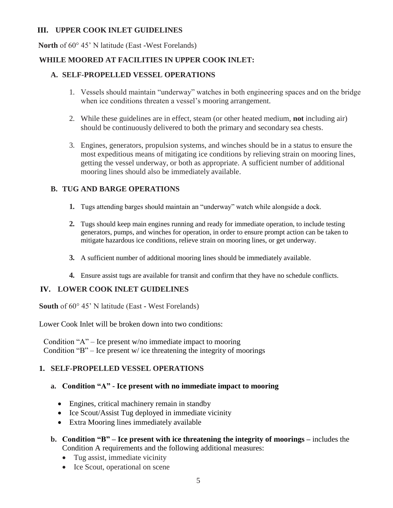#### **III. UPPER COOK INLET GUIDELINES**

**North** of 60° 45' N latitude (East **-**West Forelands)

## **WHILE MOORED AT FACILITIES IN UPPER COOK INLET:**

## **A. SELF-PROPELLED VESSEL OPERATIONS**

- 1. Vessels should maintain "underway" watches in both engineering spaces and on the bridge when ice conditions threaten a vessel's mooring arrangement.
- 2. While these guidelines are in effect, steam (or other heated medium, **not** including air) should be continuously delivered to both the primary and secondary sea chests.
- 3. Engines, generators, propulsion systems, and winches should be in a status to ensure the most expeditious means of mitigating ice conditions by relieving strain on mooring lines, getting the vessel underway, or both as appropriate. A sufficient number of additional mooring lines should also be immediately available.

## **B. TUG AND BARGE OPERATIONS**

- **1.** Tugs attending barges should maintain an "underway" watch while alongside a dock.
- **2.** Tugs should keep main engines running and ready for immediate operation, to include testing generators, pumps, and winches for operation, in order to ensure prompt action can be taken to mitigate hazardous ice conditions, relieve strain on mooring lines, or get underway.
- **3.** A sufficient number of additional mooring lines should be immediately available.
- **4.** Ensure assist tugs are available for transit and confirm that they have no schedule conflicts.

## **IV. LOWER COOK INLET GUIDELINES**

**South** of 60° 45' N latitude (East **-** West Forelands)

Lower Cook Inlet will be broken down into two conditions:

Condition "A" – Ice present w/no immediate impact to mooring Condition "B" – Ice present  $w$  ice threatening the integrity of moorings

## **1. SELF-PROPELLED VESSEL OPERATIONS**

## **a. Condition "A" - Ice present with no immediate impact to mooring**

- Engines, critical machinery remain in standby
- Ice Scout/Assist Tug deployed in immediate vicinity
- Extra Mooring lines immediately available
- **b. Condition "B" – Ice present with ice threatening the integrity of moorings –** includes the Condition A requirements and the following additional measures:
	- Tug assist, immediate vicinity
	- Ice Scout, operational on scene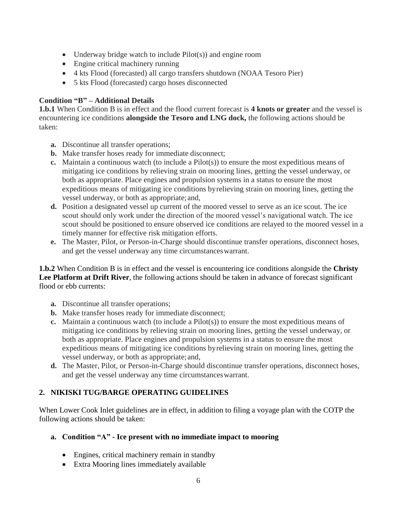- Underway bridge watch to include Pilot(s)) and engine room
- Engine critical machinery running
- 4 kts Flood (forecasted) all cargo transfers shutdown (NOAA Tesoro Pier)
- 5 kts Flood (forecasted) cargo hoses disconnected

#### **Condition "B" – Additional Details**

**1.b.1** When Condition B is in effect and the flood current forecast is **4 knots or greater** and the vessel is encountering ice conditions **alongside the Tesoro and LNG dock,** the following actions should be taken:

- **a.** Discontinue all transfer operations;
- **b.** Make transfer hoses ready for immediate disconnect;
- **c.** Maintain a continuous watch (to include a Pilot(s)) to ensure the most expeditious means of mitigating ice conditions by relieving strain on mooring lines, getting the vessel underway, or both as appropriate. Place engines and propulsion systems in a status to ensure the most expeditious means of mitigating ice conditions byrelieving strain on mooring lines, getting the vessel underway, or both as appropriate;and,
- **d.** Position a designated vessel up current of the moored vessel to serve as an ice scout. The ice scout should only work under the direction of the moored vessel's navigational watch. The ice scout should be positioned to ensure observed ice conditions are relayed to the moored vessel in a timely manner for effective risk mitigation efforts.
- **e.** The Master, Pilot, or Person-in-Charge should discontinue transfer operations, disconnect hoses, and get the vessel underway any time circumstanceswarrant.

**1.b.2** When Condition B is in effect and the vessel is encountering ice conditions alongside the **Christy Lee Platform at Drift River**, the following actions should be taken in advance of forecast significant flood or ebb currents:

- **a.** Discontinue all transfer operations;
- **b.** Make transfer hoses ready for immediate disconnect;
- **c.** Maintain a continuous watch (to include a Pilot(s)) to ensure the most expeditious means of mitigating ice conditions by relieving strain on mooring lines, getting the vessel underway, or both as appropriate. Place engines and propulsion systems in a status to ensure the most expeditious means of mitigating ice conditions byrelieving strain on mooring lines, getting the vessel underway, or both as appropriate;and,
- **d.** The Master, Pilot, or Person-in-Charge should discontinue transfer operations, disconnect hoses, and get the vessel underway any time circumstanceswarrant.

## **2. NIKISKI TUG/BARGE OPERATING GUIDELINES**

When Lower Cook Inlet guidelines are in effect, in addition to filing a voyage plan with the COTP the following actions should be taken:

#### **a. Condition "A" - Ice present with no immediate impact to mooring**

- Engines, critical machinery remain in standby
- Extra Mooring lines immediately available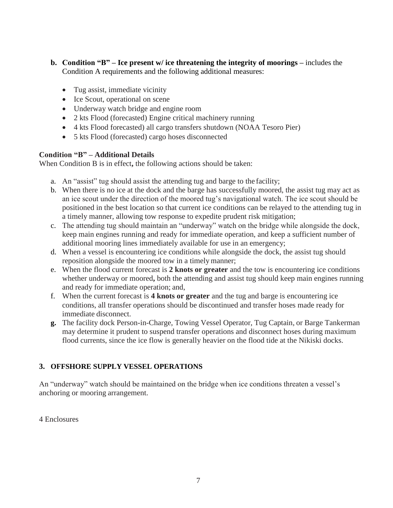- **b. Condition "B" – Ice present w/ ice threatening the integrity of moorings –** includes the Condition A requirements and the following additional measures:
	- Tug assist, immediate vicinity
	- Ice Scout, operational on scene
	- Underway watch bridge and engine room
	- 2 kts Flood (forecasted) Engine critical machinery running
	- 4 kts Flood forecasted) all cargo transfers shutdown (NOAA Tesoro Pier)
	- 5 kts Flood (forecasted) cargo hoses disconnected

#### **Condition "B" – Additional Details**

When Condition B is in effect**,** the following actions should be taken:

- a. An "assist" tug should assist the attending tug and barge to the facility;
- b. When there is no ice at the dock and the barge has successfully moored, the assist tug may act as an ice scout under the direction of the moored tug's navigational watch. The ice scout should be positioned in the best location so that current ice conditions can be relayed to the attending tug in a timely manner, allowing tow response to expedite prudent risk mitigation;
- c. The attending tug should maintain an "underway" watch on the bridge while alongside the dock, keep main engines running and ready for immediate operation, and keep a sufficient number of additional mooring lines immediately available for use in an emergency;
- d. When a vessel is encountering ice conditions while alongside the dock, the assist tug should reposition alongside the moored tow in a timely manner;
- e. When the flood current forecast is **2 knots or greater** and the tow is encountering ice conditions whether underway or moored**,** both the attending and assist tug should keep main engines running and ready for immediate operation; and,
- f. When the current forecast is **4 knots or greater** and the tug and barge is encountering ice conditions, all transfer operations should be discontinued and transfer hoses made ready for immediate disconnect.
- **g.** The facility dock Person-in-Charge, Towing Vessel Operator, Tug Captain, or Barge Tankerman may determine it prudent to suspend transfer operations and disconnect hoses during maximum flood currents, since the ice flow is generally heavier on the flood tide at the Nikiski docks.

## **3. OFFSHORE SUPPLY VESSEL OPERATIONS**

An "underway" watch should be maintained on the bridge when ice conditions threaten a vessel's anchoring or mooring arrangement.

#### 4 Enclosures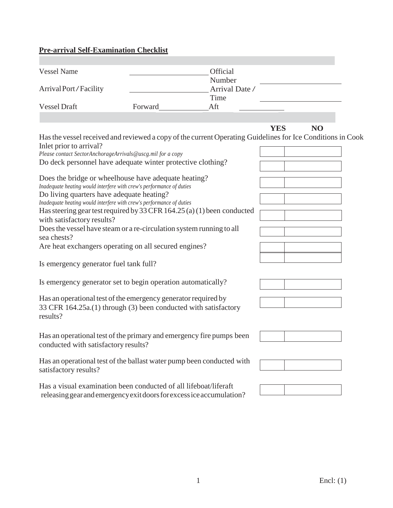#### **Pre-arrival Self-Examination Checklist**

| <b>Vessel Name</b>    |         | <b>Official</b> |  |
|-----------------------|---------|-----------------|--|
|                       |         | Number          |  |
| Arrival Port/Facility |         | Arrival Date /  |  |
|                       |         | Time            |  |
| <b>Vessel Draft</b>   | Forward | Aft             |  |

## **YES NO**

Has the vessel received and reviewed a copy of the current Operating Guidelines for Ice Conditions in Cook Inlet prior to arrival?

| Please contact SectorAnchorageArrivals@uscg.mil for a copy  |
|-------------------------------------------------------------|
| Do deck personnel have adequate winter protective clothing? |

Does the bridge or wheelhouse have adequate heating? *Inadequate heating would interfere with crew's performance of duties* Do living quarters have adequate heating? *Inadequate heating would interfere with crew's performance of duties* Has steering gear test required by 33 CFR 164.25 (a) (1) been conducted with satisfactory results? Does the vessel have steam or a re-circulation system running to all sea chests?

Are heat exchangers operating on all secured engines?

Is emergency generator fuel tank full?

Is emergency generator set to begin operation automatically?

Has an operational test of the emergency generator required by 33 CFR 164.25a.(1) through (3) been conducted with satisfactory results?

Has an operational test of the primary and emergency fire pumps been conducted with satisfactory results?

Has an operational test of the ballast water pump been conducted with satisfactory results?

Has a visual examination been conducted of all lifeboat/liferaft releasinggearandemergencyexitdoorsforexcessiceaccumulation?







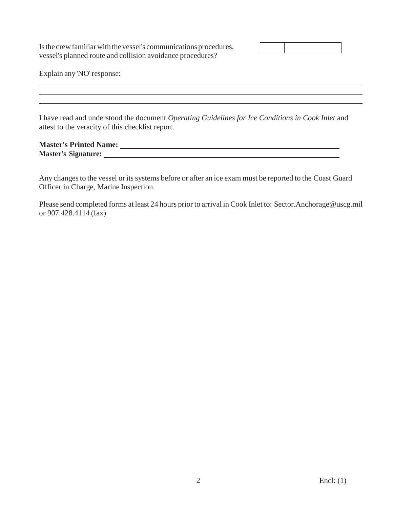Is the crew familiar with the vessel's communications procedures, vessel's planned route and collision avoidance procedures?

Explain any 'NO'response:

I have read and understood the document *Operating Guidelines for Ice Conditions in Cook Inlet* and attest to the veracity of this checklist report.

<u> 1989 - Johann Stoff, amerikansk politiker (d. 1989)</u>

**Master's Printed Name: Master's Signature:**

Any changes to the vessel or its systems before or after an ice exam must be reported to the Coast Guard Officer in Charge, Marine Inspection.

Please send completed forms at least 24 hours prior to arrival in Cook Inlet to: Sector.Anchorage@uscg.mil or 907.428.4114 (fax)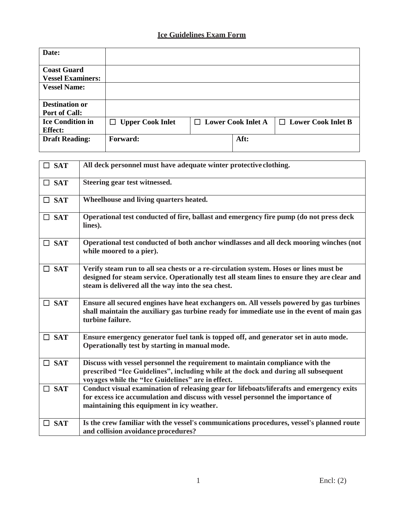# **Ice Guidelines Exam Form**

| Date:                                          |                         |                           |                           |
|------------------------------------------------|-------------------------|---------------------------|---------------------------|
| <b>Coast Guard</b><br><b>Vessel Examiners:</b> |                         |                           |                           |
| <b>Vessel Name:</b>                            |                         |                           |                           |
| <b>Destination or</b><br><b>Port of Call:</b>  |                         |                           |                           |
| <b>Ice Condition in</b><br><b>Effect:</b>      | $\Box$ Upper Cook Inlet | $\Box$ Lower Cook Inlet A | $\Box$ Lower Cook Inlet B |
| <b>Draft Reading:</b>                          | Forward:                | Aft:                      |                           |

| $\Box$ SAT | All deck personnel must have adequate winter protective clothing.                                                                                                                                                                          |
|------------|--------------------------------------------------------------------------------------------------------------------------------------------------------------------------------------------------------------------------------------------|
| $\Box$ SAT | Steering gear test witnessed.                                                                                                                                                                                                              |
| $\Box$ SAT | Wheelhouse and living quarters heated.                                                                                                                                                                                                     |
| $\Box$ SAT | Operational test conducted of fire, ballast and emergency fire pump (do not press deck<br>lines).                                                                                                                                          |
| $\Box$ SAT | Operational test conducted of both anchor windlasses and all deck mooring winches (not<br>while moored to a pier).                                                                                                                         |
| $\Box$ SAT | Verify steam run to all sea chests or a re-circulation system. Hoses or lines must be<br>designed for steam service. Operationally test all steam lines to ensure they are clear and<br>steam is delivered all the way into the sea chest. |
| $\Box$ SAT | Ensure all secured engines have heat exchangers on. All vessels powered by gas turbines<br>shall maintain the auxiliary gas turbine ready for immediate use in the event of main gas<br>turbine failure.                                   |
| $\Box$ SAT | Ensure emergency generator fuel tank is topped off, and generator set in auto mode.<br>Operationally test by starting in manual mode.                                                                                                      |
| $\Box$ SAT | Discuss with vessel personnel the requirement to maintain compliance with the<br>prescribed "Ice Guidelines", including while at the dock and during all subsequent<br>voyages while the "Ice Guidelines" are in effect.                   |
| $\Box$ SAT | Conduct visual examination of releasing gear for lifeboats/liferafts and emergency exits<br>for excess ice accumulation and discuss with vessel personnel the importance of<br>maintaining this equipment in icy weather.                  |
| $\Box$ SAT | Is the crew familiar with the vessel's communications procedures, vessel's planned route<br>and collision avoidance procedures?                                                                                                            |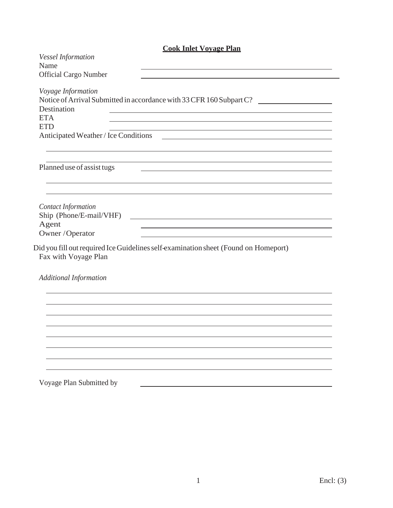| <b>Cook Inlet Voyage Plan</b>                                                                                                                                                                              |  |  |
|------------------------------------------------------------------------------------------------------------------------------------------------------------------------------------------------------------|--|--|
| <b>Vessel Information</b><br>Name<br>Official Cargo Number                                                                                                                                                 |  |  |
| Voyage Information<br>Notice of Arrival Submitted in accordance with 33 CFR 160 Subpart C?<br>Destination<br><b>ETA</b><br><b>ETD</b>                                                                      |  |  |
| Anticipated Weather / Ice Conditions <u>Constantinuous</u>                                                                                                                                                 |  |  |
| Planned use of assist tugs                                                                                                                                                                                 |  |  |
| <b>Contact Information</b><br>Ship (Phone/E-mail/VHF)<br><u> Alexandria de la contrada de la contrada de la contrada de la contrada de la contrada de la contrada de la c</u><br>Agent<br>Owner / Operator |  |  |
| Did you fill out required Ice Guidelines self-examination sheet (Found on Homeport)<br>Fax with Voyage Plan                                                                                                |  |  |
| <b>Additional Information</b>                                                                                                                                                                              |  |  |
|                                                                                                                                                                                                            |  |  |
|                                                                                                                                                                                                            |  |  |
|                                                                                                                                                                                                            |  |  |
| Voyage Plan Submitted by                                                                                                                                                                                   |  |  |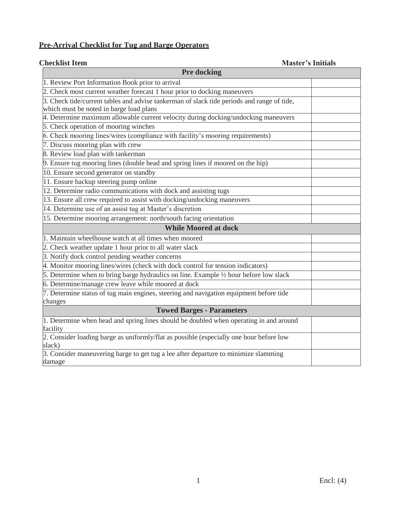# **Pre-Arrival Checklist for Tug and Barge Operators**

**Checklist Item Master's Initials**

| <b>Pre docking</b>                                                                         |  |  |  |  |
|--------------------------------------------------------------------------------------------|--|--|--|--|
| 1. Review Port Information Book prior to arrival                                           |  |  |  |  |
| 2. Check most current weather forecast 1 hour prior to docking maneuvers                   |  |  |  |  |
| 3. Check tide/current tables and advise tankerman of slack tide periods and range of tide, |  |  |  |  |
| which must be noted in barge load plans                                                    |  |  |  |  |
| 4. Determine maximum allowable current velocity during docking/undocking maneuvers         |  |  |  |  |
| 5. Check operation of mooring winches                                                      |  |  |  |  |
| 6. Check mooring lines/wires (compliance with facility's mooring requirements)             |  |  |  |  |
| 7. Discuss mooring plan with crew                                                          |  |  |  |  |
| 8. Review load plan with tankerman                                                         |  |  |  |  |
| 9. Ensure tug mooring lines (double head and spring lines if moored on the hip)            |  |  |  |  |
| 10. Ensure second generator on standby                                                     |  |  |  |  |
| 11. Ensure backup steering pump online                                                     |  |  |  |  |
| 12. Determine radio communications with dock and assisting tugs                            |  |  |  |  |
| 13. Ensure all crew required to assist with docking/undocking maneuvers                    |  |  |  |  |
| 14. Determine use of an assist tug at Master's discretion                                  |  |  |  |  |
| 15. Determine mooring arrangement: north/south facing orientation                          |  |  |  |  |
| <b>While Moored at dock</b>                                                                |  |  |  |  |
| 1. Maintain wheelhouse watch at all times when moored                                      |  |  |  |  |
| 2. Check weather update 1 hour prior to all water slack                                    |  |  |  |  |
| 3. Notify dock control pending weather concerns                                            |  |  |  |  |
| 4. Monitor mooring lines/wires (check with dock control for tension indicators)            |  |  |  |  |
| 5. Determine when to bring barge hydraulics on line. Example 1/2 hour before low slack     |  |  |  |  |
| 6. Determine/manage crew leave while moored at dock                                        |  |  |  |  |
| 7. Determine status of tug main engines, steering and navigation equipment before tide     |  |  |  |  |
| changes                                                                                    |  |  |  |  |
| <b>Towed Barges - Parameters</b>                                                           |  |  |  |  |
| 1. Determine when head and spring lines should be doubled when operating in and around     |  |  |  |  |
| facility                                                                                   |  |  |  |  |
| 2. Consider loading barge as uniformly/flat as possible (especially one hour before low    |  |  |  |  |
| slack)                                                                                     |  |  |  |  |
| 3. Consider maneuvering barge to get tug a lee after departure to minimize slamming        |  |  |  |  |
| damage                                                                                     |  |  |  |  |